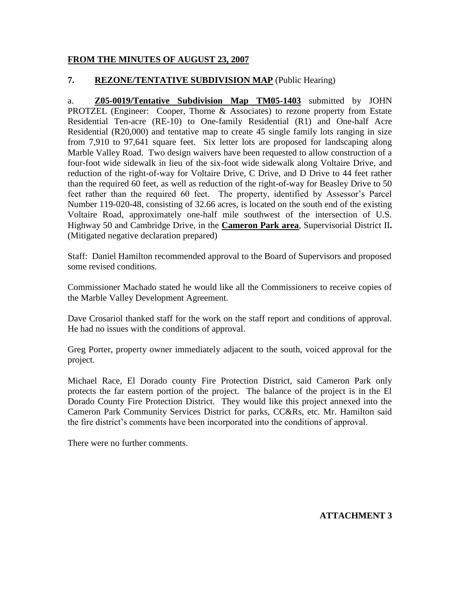## **FROM THE MINUTES OF AUGUST 23, 2007**

## **7. REZONE/TENTATIVE SUBDIVISION MAP** (Public Hearing)

a. **Z05-0019/Tentative Subdivision Map TM05-1403** submitted by JOHN PROTZEL (Engineer: Cooper, Thorne & Associates) to rezone property from Estate Residential Ten-acre (RE-10) to One-family Residential (R1) and One-half Acre Residential (R20,000) and tentative map to create 45 single family lots ranging in size from 7,910 to 97,641 square feet. Six letter lots are proposed for landscaping along Marble Valley Road. Two design waivers have been requested to allow construction of a four-foot wide sidewalk in lieu of the six-foot wide sidewalk along Voltaire Drive, and reduction of the right-of-way for Voltaire Drive, C Drive, and D Drive to 44 feet rather than the required 60 feet, as well as reduction of the right-of-way for Beasley Drive to 50 feet rather than the required 60 feet. The property, identified by Assessor's Parcel Number 119-020-48, consisting of 32.66 acres, is located on the south end of the existing Voltaire Road, approximately one-half mile southwest of the intersection of U.S. Highway 50 and Cambridge Drive, in the **Cameron Park area**, Supervisorial District II**.** (Mitigated negative declaration prepared)

Staff: Daniel Hamilton recommended approval to the Board of Supervisors and proposed some revised conditions.

Commissioner Machado stated he would like all the Commissioners to receive copies of the Marble Valley Development Agreement.

Dave Crosariol thanked staff for the work on the staff report and conditions of approval. He had no issues with the conditions of approval.

Greg Porter, property owner immediately adjacent to the south, voiced approval for the project.

Michael Race, El Dorado county Fire Protection District, said Cameron Park only protects the far eastern portion of the project. The balance of the project is in the El Dorado County Fire Protection District. They would like this project annexed into the Cameron Park Community Services District for parks, CC&Rs, etc. Mr. Hamilton said the fire district's comments have been incorporated into the conditions of approval.

There were no further comments.

**ATTACHMENT 3**